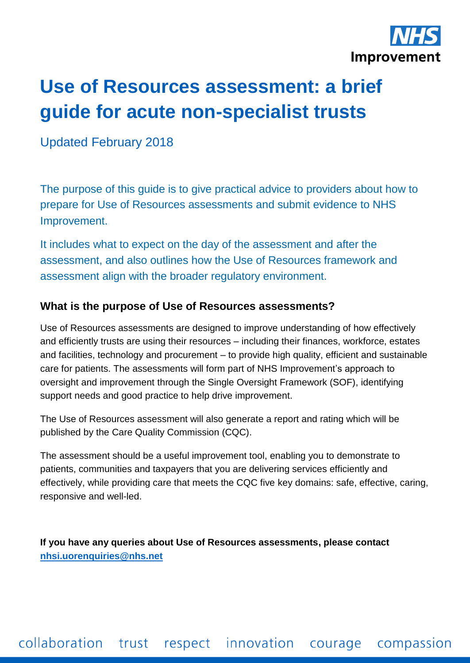

# **Use of Resources assessment: a brief guide for acute non-specialist trusts**

Updated February 2018

The purpose of this guide is to give practical advice to providers about how to prepare for Use of Resources assessments and submit evidence to NHS Improvement.

It includes what to expect on the day of the assessment and after the assessment, and also outlines how the Use of Resources framework and assessment align with the broader regulatory environment.

#### **What is the purpose of Use of Resources assessments?**

Use of Resources assessments are designed to improve understanding of how effectively and efficiently trusts are using their resources – including their finances, workforce, estates and facilities, technology and procurement – to provide high quality, efficient and sustainable care for patients. The assessments will form part of NHS Improvement's approach to oversight and improvement through the Single Oversight Framework (SOF), identifying support needs and good practice to help drive improvement.

The Use of Resources assessment will also generate a report and rating which will be published by the Care Quality Commission (CQC).

The assessment should be a useful improvement tool, enabling you to demonstrate to patients, communities and taxpayers that you are delivering services efficiently and effectively, while providing care that meets the CQC five key domains: safe, effective, caring, responsive and well-led.

**If you have any queries about Use of Resources assessments, please contact [nhsi.uorenquiries@nhs.net](mailto:nhsi.uorenquiries@nhs.net)**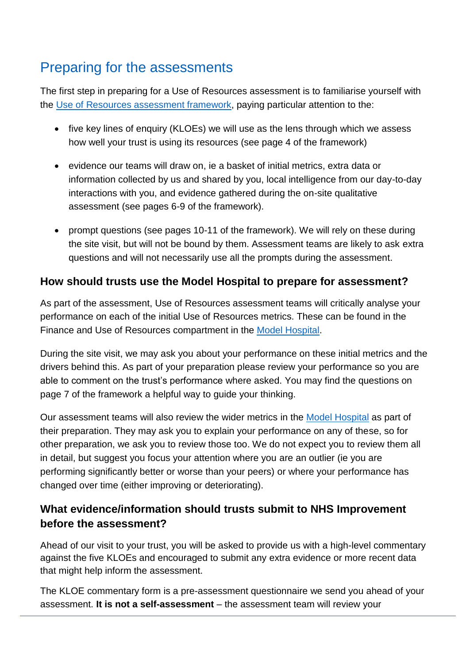# Preparing for the assessments

The first step in preparing for a Use of Resources assessment is to familiarise yourself with the [Use of Resources assessment framework,](https://improvement.nhs.uk/resources/use-resources-assessment-framework/) paying particular attention to the:

- five key lines of enquiry (KLOEs) we will use as the lens through which we assess how well your trust is using its resources (see page 4 of the framework)
- evidence our teams will draw on, ie a basket of initial metrics, extra data or information collected by us and shared by you, local intelligence from our day-to-day interactions with you, and evidence gathered during the on-site qualitative assessment (see pages 6-9 of the framework).
- prompt questions (see pages 10-11 of the framework). We will rely on these during the site visit, but will not be bound by them. Assessment teams are likely to ask extra questions and will not necessarily use all the prompts during the assessment.

### **How should trusts use the Model Hospital to prepare for assessment?**

As part of the assessment, Use of Resources assessment teams will critically analyse your performance on each of the initial Use of Resources metrics. These can be found in the Finance and Use of Resources compartment in the [Model Hospital.](file:///D:/Users/susannah.cleary/AppData/Local/Microsoft/Windows/Temporary%20Internet%20Files/Content.Outlook/BOWFHSX5/model.nhs.uk)

During the site visit, we may ask you about your performance on these initial metrics and the drivers behind this. As part of your preparation please review your performance so you are able to comment on the trust's performance where asked. You may find the questions on page 7 of the framework a helpful way to guide your thinking.

Our assessment teams will also review the wider metrics in the [Model Hospital](file:///D:/Users/susannah.cleary/AppData/Local/Microsoft/Windows/Temporary%20Internet%20Files/Content.Outlook/BOWFHSX5/model.nhs.uk) as part of their preparation. They may ask you to explain your performance on any of these, so for other preparation, we ask you to review those too. We do not expect you to review them all in detail, but suggest you focus your attention where you are an outlier (ie you are performing significantly better or worse than your peers) or where your performance has changed over time (either improving or deteriorating).

### **What evidence/information should trusts submit to NHS Improvement before the assessment?**

Ahead of our visit to your trust, you will be asked to provide us with a high-level commentary against the five KLOEs and encouraged to submit any extra evidence or more recent data that might help inform the assessment.

The KLOE commentary form is a pre-assessment questionnaire we send you ahead of your assessment. **It is not a self-assessment** – the assessment team will review your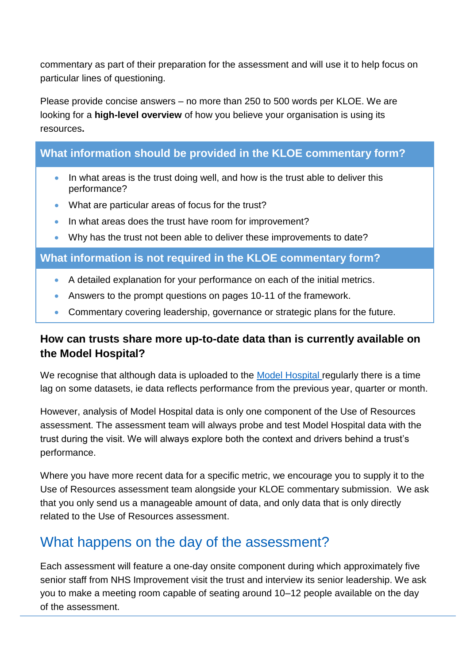commentary as part of their preparation for the assessment and will use it to help focus on particular lines of questioning.

Please provide concise answers – no more than 250 to 500 words per KLOE. We are looking for a **high-level overview** of how you believe your organisation is using its resources**.** 

### **What information should be provided in the KLOE commentary form?**

- In what areas is the trust doing well, and how is the trust able to deliver this performance?
- What are particular areas of focus for the trust?
- In what areas does the trust have room for improvement?
- Why has the trust not been able to deliver these improvements to date?

#### **What information is not required in the KLOE commentary form?**

- A detailed explanation for your performance on each of the initial metrics.
- Answers to the prompt questions on pages 10-11 of the framework.
- Commentary covering leadership, governance or strategic plans for the future.

#### **How can trusts share more up-to-date data than is currently available on the Model Hospital?**

We recognise that although data is uploaded to the [Model Hospital](https://model.nhs.uk/) regularly there is a time lag on some datasets, ie data reflects performance from the previous year, quarter or month.

However, analysis of Model Hospital data is only one component of the Use of Resources assessment. The assessment team will always probe and test Model Hospital data with the trust during the visit. We will always explore both the context and drivers behind a trust's performance.

Where you have more recent data for a specific metric, we encourage you to supply it to the Use of Resources assessment team alongside your KLOE commentary submission. We ask that you only send us a manageable amount of data, and only data that is only directly related to the Use of Resources assessment.

# What happens on the day of the assessment?

Each assessment will feature a one-day onsite component during which approximately five senior staff from NHS Improvement visit the trust and interview its senior leadership. We ask you to make a meeting room capable of seating around 10–12 people available on the day of the assessment.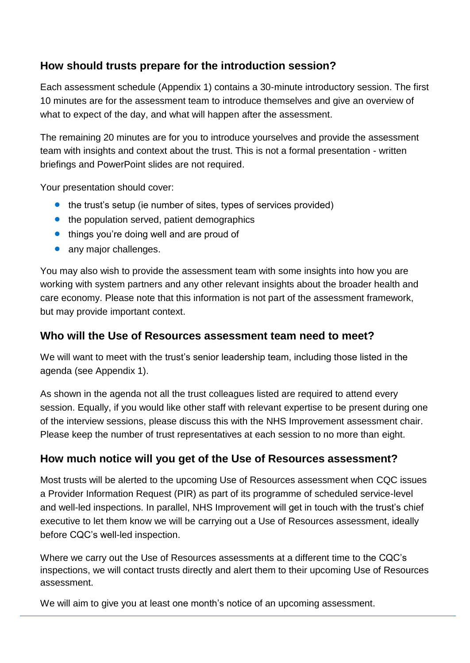### **How should trusts prepare for the introduction session?**

Each assessment schedule (Appendix 1) contains a 30-minute introductory session. The first 10 minutes are for the assessment team to introduce themselves and give an overview of what to expect of the day, and what will happen after the assessment.

The remaining 20 minutes are for you to introduce yourselves and provide the assessment team with insights and context about the trust. This is not a formal presentation - written briefings and PowerPoint slides are not required.

Your presentation should cover:

- the trust's setup (ie number of sites, types of services provided)
- the population served, patient demographics
- things you're doing well and are proud of
- any major challenges.

You may also wish to provide the assessment team with some insights into how you are working with system partners and any other relevant insights about the broader health and care economy. Please note that this information is not part of the assessment framework, but may provide important context.

#### **Who will the Use of Resources assessment team need to meet?**

We will want to meet with the trust's senior leadership team, including those listed in the agenda (see Appendix 1).

As shown in the agenda not all the trust colleagues listed are required to attend every session. Equally, if you would like other staff with relevant expertise to be present during one of the interview sessions, please discuss this with the NHS Improvement assessment chair. Please keep the number of trust representatives at each session to no more than eight.

#### **How much notice will you get of the Use of Resources assessment?**

Most trusts will be alerted to the upcoming Use of Resources assessment when CQC issues a Provider Information Request (PIR) as part of its programme of scheduled service-level and well-led inspections. In parallel, NHS Improvement will get in touch with the trust's chief executive to let them know we will be carrying out a Use of Resources assessment, ideally before CQC's well-led inspection.

Where we carry out the Use of Resources assessments at a different time to the CQC's inspections, we will contact trusts directly and alert them to their upcoming Use of Resources assessment.

We will aim to give you at least one month's notice of an upcoming assessment.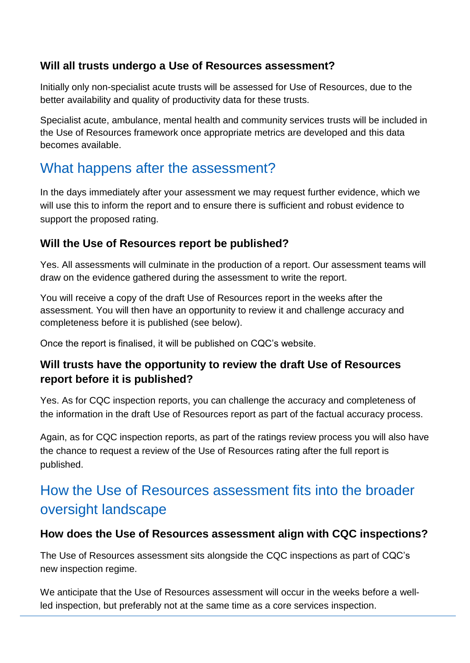#### **Will all trusts undergo a Use of Resources assessment?**

Initially only non-specialist acute trusts will be assessed for Use of Resources, due to the better availability and quality of productivity data for these trusts.

Specialist acute, ambulance, mental health and community services trusts will be included in the Use of Resources framework once appropriate metrics are developed and this data becomes available.

## What happens after the assessment?

In the days immediately after your assessment we may request further evidence, which we will use this to inform the report and to ensure there is sufficient and robust evidence to support the proposed rating.

### **Will the Use of Resources report be published?**

Yes. All assessments will culminate in the production of a report. Our assessment teams will draw on the evidence gathered during the assessment to write the report.

You will receive a copy of the draft Use of Resources report in the weeks after the assessment. You will then have an opportunity to review it and challenge accuracy and completeness before it is published (see below).

Once the report is finalised, it will be published on CQC's website.

### **Will trusts have the opportunity to review the draft Use of Resources report before it is published?**

Yes. As for CQC inspection reports, you can challenge the accuracy and completeness of the information in the draft Use of Resources report as part of the factual accuracy process.

Again, as for CQC inspection reports, as part of the ratings review process you will also have the chance to request a review of the Use of Resources rating after the full report is published.

# How the Use of Resources assessment fits into the broader oversight landscape

#### **How does the Use of Resources assessment align with CQC inspections?**

The Use of Resources assessment sits alongside the CQC inspections as part of CQC's new inspection regime.

We anticipate that the Use of Resources assessment will occur in the weeks before a wellled inspection, but preferably not at the same time as a core services inspection.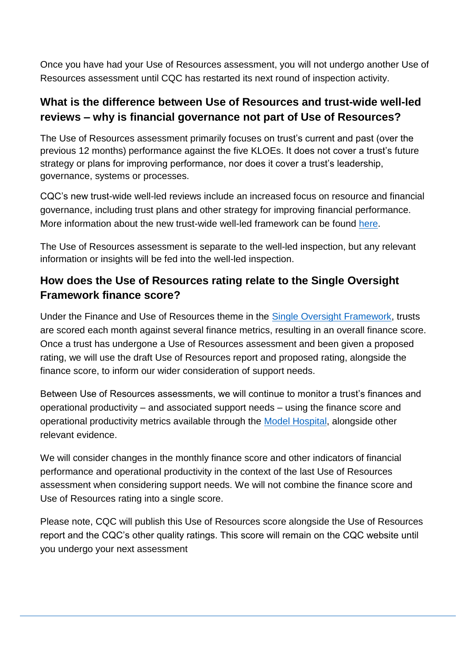Once you have had your Use of Resources assessment, you will not undergo another Use of Resources assessment until CQC has restarted its next round of inspection activity.

#### **What is the difference between Use of Resources and trust-wide well-led reviews – why is financial governance not part of Use of Resources?**

The Use of Resources assessment primarily focuses on trust's current and past (over the previous 12 months) performance against the five KLOEs. It does not cover a trust's future strategy or plans for improving performance, nor does it cover a trust's leadership, governance, systems or processes.

CQC's new trust-wide well-led reviews include an increased focus on resource and financial governance, including trust plans and other strategy for improving financial performance. More information about the new trust-wide well-led framework can be found [here.](https://improvement.nhs.uk/resources/well-led-framework/)

The Use of Resources assessment is separate to the well-led inspection, but any relevant information or insights will be fed into the well-led inspection.

### **How does the Use of Resources rating relate to the Single Oversight Framework finance score?**

Under the Finance and Use of Resources theme in the [Single Oversight Framework,](https://improvement.nhs.uk/resources/single-oversight-framework/) trusts are scored each month against several finance metrics, resulting in an overall finance score. Once a trust has undergone a Use of Resources assessment and been given a proposed rating, we will use the draft Use of Resources report and proposed rating, alongside the finance score, to inform our wider consideration of support needs.

Between Use of Resources assessments, we will continue to monitor a trust's finances and operational productivity – and associated support needs – using the finance score and operational productivity metrics available through the [Model Hospital,](https://model.nhs.uk/) alongside other relevant evidence.

We will consider changes in the monthly finance score and other indicators of financial performance and operational productivity in the context of the last Use of Resources assessment when considering support needs. We will not combine the finance score and Use of Resources rating into a single score.

Please note, CQC will publish this Use of Resources score alongside the Use of Resources report and the CQC's other quality ratings. This score will remain on the CQC website until you undergo your next assessment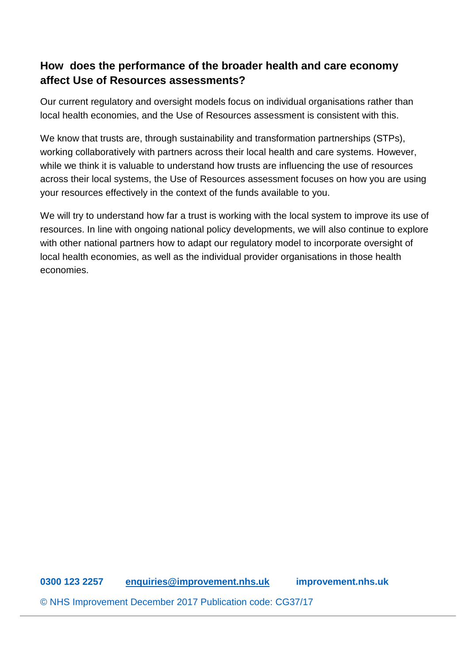#### **How does the performance of the broader health and care economy affect Use of Resources assessments?**

Our current regulatory and oversight models focus on individual organisations rather than local health economies, and the Use of Resources assessment is consistent with this.

We know that trusts are, through sustainability and transformation partnerships (STPs), working collaboratively with partners across their local health and care systems. However, while we think it is valuable to understand how trusts are influencing the use of resources across their local systems, the Use of Resources assessment focuses on how you are using your resources effectively in the context of the funds available to you.

We will try to understand how far a trust is working with the local system to improve its use of resources. In line with ongoing national policy developments, we will also continue to explore with other national partners how to adapt our regulatory model to incorporate oversight of local health economies, as well as the individual provider organisations in those health economies.